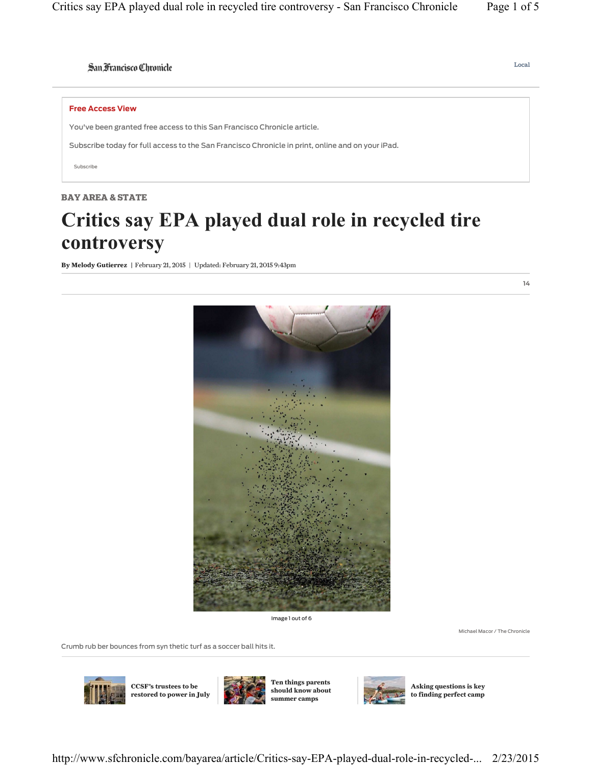# San Francisco Chronicle

#### **Free Access View**

You've been granted free access to this San Francisco Chronicle article.

Subscribe today for full access to the San Francisco Chronicle in print, online and on your iPad.

Subscribe

# **BAY AREA & STATE**

# **Critics say EPA played dual role in recycled tire controversy**

**By Melody Gutierrez |** February 21, 2015 | Updated: February 21, 2015 9:43pm



Image 1 out of 6

Michael Macor / The Chronicle

Crumb rub ber bounces from syn thetic turf as a soccer ball hits it.



**CCSF's trustees to be restored to power in July**



**Ten things parents should know about summer camps**



**Asking questions is key to finding perfect camp** **14**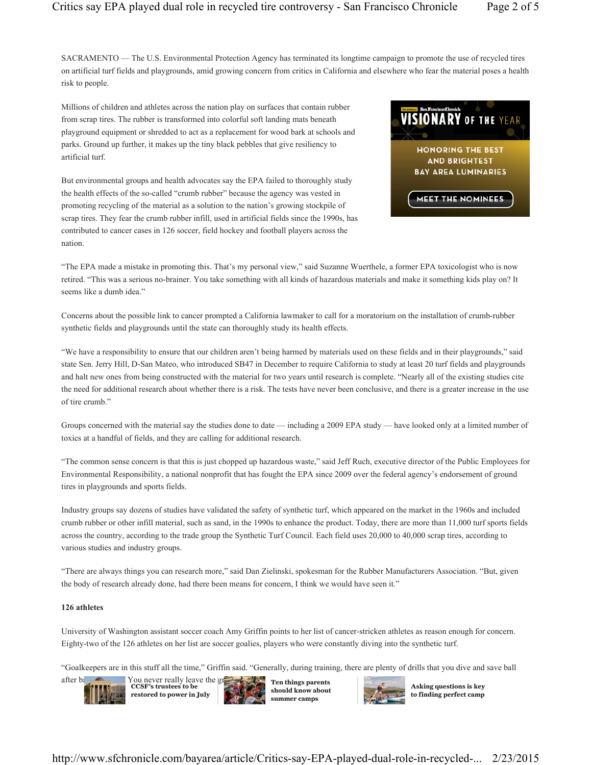SACRAMENTO — The U.S. Environmental Protection Agency has terminated its longtime campaign to promote the use of recycled tires on artificial turf fields and playgrounds, amid growing concern from critics in California and elsewhere who fear the material poses a health risk to people.

Millions of children and athletes across the nation play on surfaces that contain rubber from scrap tires. The rubber is transformed into colorful soft landing mats beneath playground equipment or shredded to act as a replacement for wood bark at schools and parks. Ground up further, it makes up the tiny black pebbles that give resiliency to artificial turf.

But environmental groups and health advocates say the EPA failed to thoroughly study the health effects of the so-called "crumb rubber" because the agency was vested in promoting recycling of the material as a solution to the nation's growing stockpile of scrap tires. They fear the crumb rubber infill, used in artificial fields since the 1990s, has contributed to cancer cases in 126 soccer, field hockey and football players across the nation.



"The EPA made a mistake in promoting this. That's my personal view," said Suzanne Wuerthele, a former EPA toxicologist who is now retired. "This was a serious no-brainer. You take something with all kinds of hazardous materials and make it something kids play on? It seems like a dumb idea."

Concerns about the possible link to cancer prompted a California lawmaker to call for a moratorium on the installation of crumb-rubber synthetic fields and playgrounds until the state can thoroughly study its health effects.

"We have a responsibility to ensure that our children aren't being harmed by materials used on these fields and in their playgrounds," said state Sen. Jerry Hill, D-San Mateo, who introduced SB47 in December to require California to study at least 20 turf fields and playgrounds and halt new ones from being constructed with the material for two years until research is complete. "Nearly all of the existing studies cite the need for additional research about whether there is a risk. The tests have never been conclusive, and there is a greater increase in the use of tire crumb."

Groups concerned with the material say the studies done to date — including a 2009 EPA study — have looked only at a limited number of toxics at a handful of fields, and they are calling for additional research.

"The common sense concern is that this is just chopped up hazardous waste," said Jeff Ruch, executive director of the Public Employees for Environmental Responsibility, a national nonprofit that has fought the EPA since 2009 over the federal agency's endorsement of ground tires in playgrounds and sports fields.

Industry groups say dozens of studies have validated the safety of synthetic turf, which appeared on the market in the 1960s and included crumb rubber or other infill material, such as sand, in the 1990s to enhance the product. Today, there are more than 11,000 turf sports fields across the country, according to the trade group the Synthetic Turf Council. Each field uses 20,000 to 40,000 scrap tires, according to various studies and industry groups.

"There are always things you can research more," said Dan Zielinski, spokesman for the Rubber Manufacturers Association. "But, given the body of research already done, had there been means for concern, I think we would have seen it."

#### **126 athletes**

University of Washington assistant soccer coach Amy Griffin points to her list of cancer-stricken athletes as reason enough for concern. Eighty-two of the 126 athletes on her list are soccer goalies, players who were constantly diving into the synthetic turf.

"Goalkeepers are in this stuff all the time," Griffin said. "Generally, during training, there are plenty of drills that you dive and save ball



after ball. You never really leave the g **CCSF's trustees to be restored to power in July**



**Ten things parents should know about summer camps**



**Asking questions is key to finding perfect camp**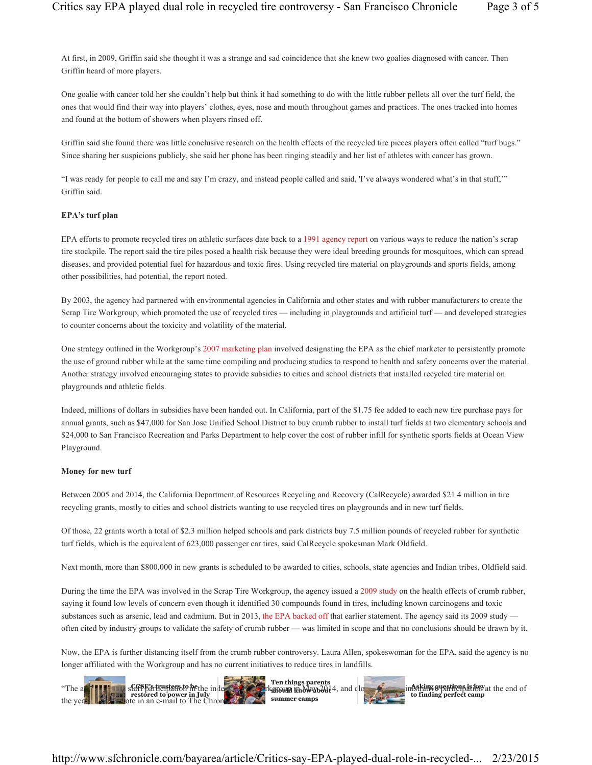At first, in 2009, Griffin said she thought it was a strange and sad coincidence that she knew two goalies diagnosed with cancer. Then Griffin heard of more players.

One goalie with cancer told her she couldn't help but think it had something to do with the little rubber pellets all over the turf field, the ones that would find their way into players' clothes, eyes, nose and mouth throughout games and practices. The ones tracked into homes and found at the bottom of showers when players rinsed off.

Griffin said she found there was little conclusive research on the health effects of the recycled tire pieces players often called "turf bugs." Since sharing her suspicions publicly, she said her phone has been ringing steadily and her list of athletes with cancer has grown.

"I was ready for people to call me and say I'm crazy, and instead people called and said, 'I've always wondered what's in that stuff,'" Griffin said.

## **EPA's turf plan**

EPA efforts to promote recycled tires on athletic surfaces date back to a 1991 agency report on various ways to reduce the nation's scrap tire stockpile. The report said the tire piles posed a health risk because they were ideal breeding grounds for mosquitoes, which can spread diseases, and provided potential fuel for hazardous and toxic fires. Using recycled tire material on playgrounds and sports fields, among other possibilities, had potential, the report noted.

By 2003, the agency had partnered with environmental agencies in California and other states and with rubber manufacturers to create the Scrap Tire Workgroup, which promoted the use of recycled tires — including in playgrounds and artificial turf — and developed strategies to counter concerns about the toxicity and volatility of the material.

One strategy outlined in the Workgroup's 2007 marketing plan involved designating the EPA as the chief marketer to persistently promote the use of ground rubber while at the same time compiling and producing studies to respond to health and safety concerns over the material. Another strategy involved encouraging states to provide subsidies to cities and school districts that installed recycled tire material on playgrounds and athletic fields.

Indeed, millions of dollars in subsidies have been handed out. In California, part of the \$1.75 fee added to each new tire purchase pays for annual grants, such as \$47,000 for San Jose Unified School District to buy crumb rubber to install turf fields at two elementary schools and \$24,000 to San Francisco Recreation and Parks Department to help cover the cost of rubber infill for synthetic sports fields at Ocean View Playground.

#### **Money for new turf**

Between 2005 and 2014, the California Department of Resources Recycling and Recovery (CalRecycle) awarded \$21.4 million in tire recycling grants, mostly to cities and school districts wanting to use recycled tires on playgrounds and in new turf fields.

Of those, 22 grants worth a total of \$2.3 million helped schools and park districts buy 7.5 million pounds of recycled rubber for synthetic turf fields, which is the equivalent of 623,000 passenger car tires, said CalRecycle spokesman Mark Oldfield.

Next month, more than \$800,000 in new grants is scheduled to be awarded to cities, schools, state agencies and Indian tribes, Oldfield said.

During the time the EPA was involved in the Scrap Tire Workgroup, the agency issued a 2009 study on the health effects of crumb rubber, saying it found low levels of concern even though it identified 30 compounds found in tires, including known carcinogens and toxic substances such as arsenic, lead and cadmium. But in 2013, the EPA backed off that earlier statement. The agency said its 2009 study often cited by industry groups to validate the safety of crumb rubber — was limited in scope and that no conclusions should be drawn by it.

Now, the EPA is further distancing itself from the crumb rubber controversy. Laura Allen, spokeswoman for the EPA, said the agency is no longer affiliated with the Workgroup and has no current initiatives to reduce tires in landfills.

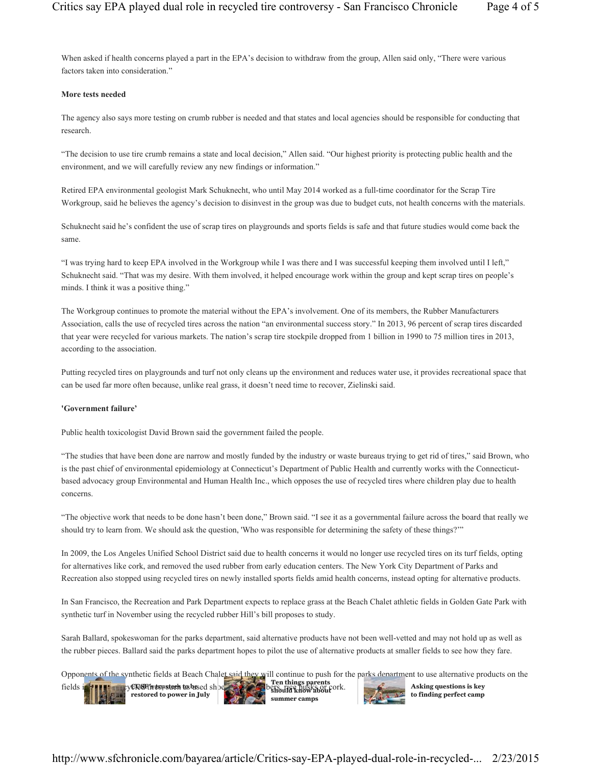When asked if health concerns played a part in the EPA's decision to withdraw from the group, Allen said only, "There were various factors taken into consideration."

## **More tests needed**

The agency also says more testing on crumb rubber is needed and that states and local agencies should be responsible for conducting that research.

"The decision to use tire crumb remains a state and local decision," Allen said. "Our highest priority is protecting public health and the environment, and we will carefully review any new findings or information."

Retired EPA environmental geologist Mark Schuknecht, who until May 2014 worked as a full-time coordinator for the Scrap Tire Workgroup, said he believes the agency's decision to disinvest in the group was due to budget cuts, not health concerns with the materials.

Schuknecht said he's confident the use of scrap tires on playgrounds and sports fields is safe and that future studies would come back the same.

"I was trying hard to keep EPA involved in the Workgroup while I was there and I was successful keeping them involved until I left," Schuknecht said. "That was my desire. With them involved, it helped encourage work within the group and kept scrap tires on people's minds. I think it was a positive thing."

The Workgroup continues to promote the material without the EPA's involvement. One of its members, the Rubber Manufacturers Association, calls the use of recycled tires across the nation "an environmental success story." In 2013, 96 percent of scrap tires discarded that year were recycled for various markets. The nation's scrap tire stockpile dropped from 1 billion in 1990 to 75 million tires in 2013, according to the association.

Putting recycled tires on playgrounds and turf not only cleans up the environment and reduces water use, it provides recreational space that can be used far more often because, unlike real grass, it doesn't need time to recover, Zielinski said.

## **'Government failure'**

Public health toxicologist David Brown said the government failed the people.

"The studies that have been done are narrow and mostly funded by the industry or waste bureaus trying to get rid of tires," said Brown, who is the past chief of environmental epidemiology at Connecticut's Department of Public Health and currently works with the Connecticutbased advocacy group Environmental and Human Health Inc., which opposes the use of recycled tires where children play due to health concerns.

"The objective work that needs to be done hasn't been done," Brown said. "I see it as a governmental failure across the board that really we should try to learn from. We should ask the question, 'Who was responsible for determining the safety of these things?'"

In 2009, the Los Angeles Unified School District said due to health concerns it would no longer use recycled tires on its turf fields, opting for alternatives like cork, and removed the used rubber from early education centers. The New York City Department of Parks and Recreation also stopped using recycled tires on newly installed sports fields amid health concerns, instead opting for alternative products.

In San Francisco, the Recreation and Park Department expects to replace grass at the Beach Chalet athletic fields in Golden Gate Park with synthetic turf in November using the recycled rubber Hill's bill proposes to study.

Sarah Ballard, spokeswoman for the parks department, said alternative products have not been well-vetted and may not hold up as well as the rubber pieces. Ballard said the parks department hopes to pilot the use of alternative products at smaller fields to see how they fare.

Opponents of the synthetic fields at Beach Chalet said they will continue to push for the parks department to use alternative products on the fields instead of **recycled times, as used shows:** correct fibers, rice husks or core corp. **restored to power in July Ten things p should know about summer camps Asking questions is key to finding perfect camp**